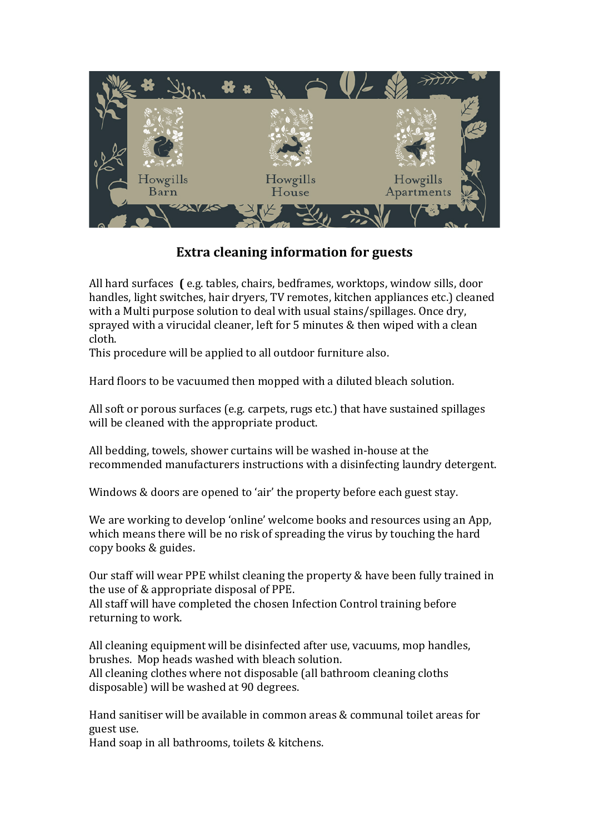

## **Extra cleaning information for guests**

All hard surfaces **(** e.g. tables, chairs, bedframes, worktops, window sills, door handles, light switches, hair dryers, TV remotes, kitchen appliances etc.) cleaned with a Multi purpose solution to deal with usual stains/spillages. Once dry, sprayed with a virucidal cleaner, left for 5 minutes & then wiped with a clean cloth.

This procedure will be applied to all outdoor furniture also.

Hard floors to be vacuumed then mopped with a diluted bleach solution.

All soft or porous surfaces (e.g. carpets, rugs etc.) that have sustained spillages will be cleaned with the appropriate product.

All bedding, towels, shower curtains will be washed in-house at the recommended manufacturers instructions with a disinfecting laundry detergent.

Windows & doors are opened to 'air' the property before each guest stay.

We are working to develop 'online' welcome books and resources using an App, which means there will be no risk of spreading the virus by touching the hard copy books & guides.

Our staff will wear PPE whilst cleaning the property & have been fully trained in the use of & appropriate disposal of PPE.

All staff will have completed the chosen Infection Control training before returning to work.

All cleaning equipment will be disinfected after use, vacuums, mop handles, brushes. Mop heads washed with bleach solution. All cleaning clothes where not disposable (all bathroom cleaning cloths disposable) will be washed at 90 degrees.

Hand sanitiser will be available in common areas & communal toilet areas for guest use.

Hand soap in all bathrooms, toilets & kitchens.